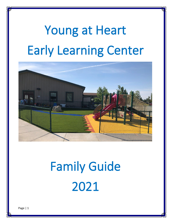

# Family Guide 2021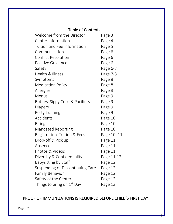# Table of Contents

| Welcome from the Director              | Page 3     |
|----------------------------------------|------------|
| <b>Center Information</b>              | Page 4     |
| Tuition and Fee Information            | Page 5     |
| Communication                          | Page 6     |
| <b>Conflict Resolution</b>             | Page 6     |
| Positive Guidance                      | Page 6     |
| Safety                                 | Page 6-7   |
| Health & Illness                       | Page 7-8   |
| Symptoms                               | Page 8     |
| <b>Medication Policy</b>               | Page 8     |
| Allergies                              | Page 8     |
| Menus                                  | Page 9     |
| Bottles, Sippy Cups & Pacifiers        | Page 9     |
| Diapers                                | Page 9     |
| <b>Potty Training</b>                  | Page 9     |
| Accidents                              | Page 10    |
| <b>Biting</b>                          | Page 10    |
| <b>Mandated Reporting</b>              | Page 10    |
| Registration, Tuition & Fees           | Page 10-11 |
| Drop-off & Pick up                     | Page 11    |
| Absence                                | Page 11    |
| Photos & Videos                        | Page 11    |
| Diversity & Confidentiality            | Page 11-12 |
| Babysitting by Staff                   | Page 12    |
| Suspending or Discontinuing Care       | Page 12    |
| <b>Family Behavior</b>                 | Page 12    |
| Safety of the Center                   | Page 12    |
| Things to bring on 1 <sup>st</sup> Day | Page 13    |

# PROOF OF IMMUNIZATIONS IS REQUIRED BEFORE CHILD'S FIRST DAY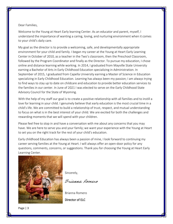# Dear Families,

Welcome to the Young at Heart Early learning Center. As an educator and parent, myself, I understand the importance of wanting a caring, loving, and nurturing environment when it comes to your child's daily care.

My goal as the director is to provide a welcoming, safe, and developmentally appropriate environment for your child and family. I began my career at the Young at Heart Early Learning Center in October of 2010, as a teacher in the Two's classroom, then the Preschool Classroom, followed by the Program Coordinator and finally as the Director. To pursue my education, I chose online and distance learning while working. In 2014, I graduated from Mayville State University earning a Bachelor of Arts in Early Childhood Education specializing in Administration. In September of 2015, I graduated from Capella University earning a Master of Science in Education specializing in Early Childhood Education. Learning has always been my passion; I am always trying to find ways to stay up to date on childcare and education to provide better education services to the families in our center. In June of 2021 I was elected to serve on the Early Childhood State Advisory Council for the State of Wyoming.

With the help of my staff our goal is to create a positive relationship with all families and to instill a love for learning in your child. I genuinely believe that early education is the most crucial time in a child's life. We are committed to build a relationship of trust, respect, and mutual understanding to focus on what is in the best interest of your child. We are excited for both the challenges and rewarding moments that we will spend with your children.

Please feel free to stop in and have a conversation with me about any concerns that you may have. We are here to serve you and your family; we want your experience with the Young at Heart to set you on the right track for the rest of your child's education.

Early childhood Education has always been a passion of mine, I look forward to continuing my career serving families at the Young at Heart. I will always offer an open-door policy for any questions, comments, concerns, or suggestions. Thank you for choosing the Young at Heart Early Learning Center.



Sincerely,

Brianna Romero

Brianna Romero

Director of ELC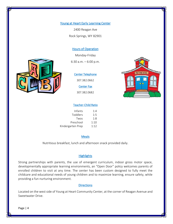2400 Reagan Ave Rock Springs, WY 82901

# Hours of Operation

Monday-Friday

6:30 a.m. – 6:00 p.m.



# Center Telephone

307.382.0662

Center Fax

307.382.0682



## Teacher-Child Ratio

| 1:4  |
|------|
| 1:5  |
| 1:8  |
| 1:10 |
| 1:12 |
|      |

#### **Meals**

Nutritious breakfast, lunch and afternoon snack provided daily.

# **Highlights**

Strong partnerships with parents, the use of emergent curriculum, indoor gross motor space, developmentally appropriate learning environments, an "Open Door" policy welcomes parents of enrolled children to visit at any time. The center has been custom designed to fully meet the childcare and educational needs of young children and to maximize learning, ensure safety, while providing a fun nurturing environment.

# **Directions**

Located on the west side of Young at Heart Community Center, at the corner of Reagan Avenue and Sweetwater Drive.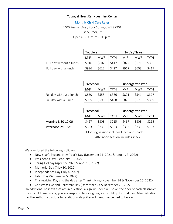Monthly Child Care Rates 2400 Reagan Ave., Rock Springs, WY 82901 307-382-0662 Open 6:30 a.m. to 6:00 p.m.

Full day without a lunch Full day with a lunch

| <b>Toddlers</b> |             | Two's /Threes |       |            |       |
|-----------------|-------------|---------------|-------|------------|-------|
| $M-F$           | <b>IMWF</b> | T/TH          | $M-F$ | <b>MWF</b> | T/TH  |
| \$916           | \$602       | \$417         | \$872 | \$571      | \$395 |
| \$926           | \$612       | \$427         | \$917 | \$603      | \$417 |

Full day without a lunch Full day with a lunch

| Preschool |            | Kindergarten Prep |       |            |       |
|-----------|------------|-------------------|-------|------------|-------|
| $M-F$     | <b>MWF</b> | T/TH              | $M-F$ | <b>MWF</b> | T/TH  |
| \$850     | \$558      | \$386             | \$821 | \$541      | \$377 |
| \$905     | \$590      | \$408             | \$876 | \$573      | \$399 |

Morning 8:30-12:00 Afternoon 2:15-5:15

| Preschool |       | Kindergarten Prep |       |            |       |
|-----------|-------|-------------------|-------|------------|-------|
| M-F       | lMWF  | T/TH              | $M-F$ | <b>MWF</b> | т/тн  |
| \$467     | \$308 | \$215             | \$467 | \$308      | \$215 |
| \$353     | \$233 | \$163             | \$353 | \$233      | \$163 |

Morning session includes lunch and snack

Afternoon session includes snack

We are closed the following Holidays:

- New Year's Eve and New Year's Day (December 31, 2021 & January 3, 2022)
- President's Day (February 21, 2022)
- Spring Holiday (April 15, 2022 & April 18, 2022)
- Memorial Day (May 30, 2022)
- Independence Day (July 4, 2022)
- Labor Day (September 5, 2022)
- Thanksgiving Day and the day after Thanksgiving (November 24 & November 25, 2022)
- Christmas Eve and Christmas Day (December 23 & December 26, 2022)

On additional holidays that are in question, a sign-up sheet will be on the door of each classroom. If your child needs care, you are responsible for signing your child up for that day. Administration has the authority to close for additional days if enrollment is expected to be low.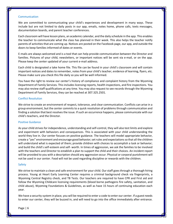#### **Communication**

We are committed to communicating your child's experiences and development in many ways. These include but are not limited to daily posts in our app, emails, notes home, phone calls, texts messages, documentation boards, and parent teacher conferences.

Each classroom will have lesson plans, an academic calendar, and the daily schedule in the app. This enables the teacher to communicate what the class has planned in their week. This also helps the teacher notify parents of activities that are coming up. Notices are posted on the Facebook page, our app, and outside the doors to keep families informed of dates or events.

E-mails are always welcomed and is a tool that can help provide communication between the Director and families. Pictures of your child, newsletters, or important notices will be sent via e-mail, or on the app. Please keep the center updated of your current e-mail address.

Each child is designated a take home file. This file can be found in your child's classroom and will contain important notices and dates to remember, notes from your child's teacher, evidence of learning, flyers, etc. Please make sure you check this file daily so you will be well informed.

You have the right to review our center's history of compliance and complaint history from the Wyoming Department of Family Services. This includes licensing reports, health inspections, and fire inspections. You may also review staff qualifications at any time. You may also request to see records through the Wyoming Department of Family Services, they can be reached at 307.325.2501.

#### Conflict Resolution

We strive to create an environment of respect, tolerance, and clear communication. Conflicts can arise in a group environment, but the center commits to a quick resolution of problems through communication and finding a solution that best resolves the issue. If such an occurrence happens, please communicate with our child's teachers, and the Director.

#### Positive Guidance

As your child strives for independence, understanding and self-control, they will also test limits and explore and experiment with behaviors and consequences. This is associated with your child understanding the world they live in. Our center focuses on positive guidance. The teachers will model appropriate behavior, create a "yes" environment and encourage good behavior; set rules and expectations so that all the children will understand what is expected of them; provide children with choices to accomplish a task or behavior; and build the child's self-esteem and self- worth. In times of aggression, we ask the families to be involved with the teachers and Director to establish a plan to support the child and their choices. An incident report will be provided to you with a description should any aggression occur. Physical or corporal punishment will not be used in our center. Food will not be used regarding discipline or rewards with the children.

#### Safety

We strive to maintain a clean and safe environment for your child. Our staff goes through a thorough hiring process. Young at Heart Early Learning Center requires a criminal background check via fingerprints, a Wyoming Central Registry check, and TB Tests. Our teachers are required to have CPR and First aid and follow the Wyoming Childcare licensing requirements (blood borne pathogens fire safety, sanitation, and child abuse), Wyoming Foundations & Guidelines, as well as have 15 hours of continuing education each year.

We have a security system in place, you will be required to enter a code to enter our center. If a guest needs to enter our center, they will be buzzed in, and will need to go into the office immediately after entrance.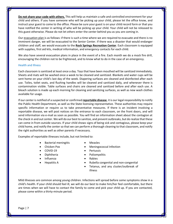**Do not share your code with others.** This will help us maintain a safe and controlled environment for your child and others. If you have someone who will be picking up your child, please let the office know, and instruct your guest to come to the office. Please be sure your guest is on your child record form or that you have notified the center in writing of who will be picking up your child. Your child will not be released to this guest otherwise. Please do not let others enter the center behind you as you are coming in.

Our evacuation plan is as follows: if there is such a time where we are required to evacuate and there is no imminent danger, we will be evacuated to the Senior Center. If there was a disaster that would endanger children and staff, we would evacuate to the **Rock Springs Recreation Center**. Each classroom is equipped with supplies, first aid kits, medical information, and emergency contacts for each child.

We also have several evacuation plans in place in the event of a fire. Each month we do a mock fire drill, encouraging the children not to be frightened, and to know what to do in the case of an emergency.

### Health and Illness

Each classroom is sanitized at least once a day. Toys that have been mouthed will be sanitized immediately. Sheets and mats will be washed once a week to be cleaned and sanitized. Blankets and water cups will be sent home on your child's last day of the week. Diapering surfaces are cleaned and disinfected after each use. Toiles, toilet seats, and flushing handles will be cleaned and sanitized daily, and whenever there is contamination visible. Table surfaces and chairs are cleaned and sanitized before and after each use. A bleach solution is made up each morning for cleaning and sanitizing surfaces, as well as new wash clothes available for usage.

If our center is notified of a suspected or confirmed **reportable disease**, it is our legal responsibility to notify the Public Health Department, as well as the State licensing representative. These authorities may require specific information or require us to take preventative measures. If there is an incident involving a reportable disease, we will post notices on the entrance to each classroom, on the front doors, and will send information via e-mail as soon as possible. You will find an information sheet about the contagion at the check in and out center. We will do our best to sanitize, and prevent outbreaks, but do realize that these can come in from outside sources. If your child shows signs of being sick and contagious, please keep your child home, and notify the center so that we can perform a thorough cleaning to that classroom, and notify the right authorities as well as other parents if necessary.

Examples of reportable illnesses include, but not limited to:

- Bacterial meningitis Measles
- 
- 
- COVID-19 Pertussis
- 
- Influenza Rabies
- 
- Chicken Pox Meningococcal Infection
	-
- Diphtheria Poliomyelitis
	-
	- Hepatitis A Rubella congenital and non-congenital
		- Tetanus, and any cluster/outbreak of illness

Mild illnesses are common among young children. Infections will spread before some symptoms show in a child's health. If your child should feel ill, we will do our best to make him/her feel comfortable, but there are times when we will have to contact the family to come and pick your child up. If you are contacted, please come within a thirty-minute period.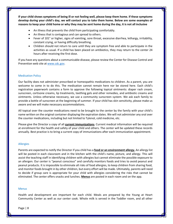**If your child shows symptoms of being ill or not feeling well, please keep them home. If these symptoms develop during your child's day, we will contact you to take them home. Below are some examples of reasons to keep your child home or why they may be sent home during the day, it is not all inclusive** 

- An illness that prevents the child from participating comfortably.
- An illness that is contagious and can spread to others.
- Fever of 101° or higher, signs of vomiting, sore throat, excessive diarrhea, lethargy, irritability, constant crying, or having difficulty breathing.
- Children should not return to care until they are symptom free and able to participate in the activities as usual. If a child has been placed on antibiotics, they may return to the center 24 hours after receiving the first dose.

If you have any questions about a communicable disease, please review the Center for Disease Control and Prevention web site at [www.cdc.gov.](http://www.cdc.gov/)

#### Medication Policy

Our facility does not administer prescribed or homeopathic medications to children. As a parent, you are welcome to come in to do this. The medication cannot remain here nor be stored here. Each child's registration paperwork contains a form to approve the following topical ointments: diaper rash cream, sunscreen, cortisone creams, lip treatments, teething gels and other remedies, and antibiotic creams and ointments. Unless otherwise necessary, we use a community sunscreen system. We ask each family to provide a bottle of sunscreen at the beginning of summer. If your child has skin sensitivity, please make us aware and we will make necessary accommodations.

All topical over the counter medications need to be brought to the center by the family with your child's name written on the original container displaying the expiration dates. We will not administer any oral over the counter medications, including but not limited to Tylenol, cold medicine, etc.

Please give the Director a copy of all **current immunizations**. Current medical information will be required at enrollment for the health and safety of your child and others. The center will be updated these records annually. Best practice is to bring a current copy of immunizations after each immunization appointment.

#### Allergies

Parents are expected to notify the Director if you child has a **food or an environment allergy.** An allergy list will be posted in each classroom and in the kitchen with the child's name, picture, and allergy. This will assist the teaching staff in identifying children with allergies but cannot eliminate the possible exposure to an allergen. Our center is "peanut conscious" and carefully monitors foods and tries to avoid peanut and peanut products. It is impossible to eliminate all risks of food allergies, to keep children from sharing food, and monitor foods brought in by other children, but every effort will be made. Ultimately, parents will need to decide if group care is appropriate for your child with allergies considering the risks that cannot be eliminated. The center offers snacks and lunches. **Menus** are posted in each room and on the app.

#### **Menus**

Health and development are important for each child. Meals are prepared by the Young at Heart Community Center as well as our center cook. Whole milk is served in the Toddler room, and all other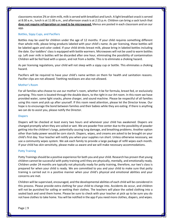classrooms receive 2% or skim milk, milk is served with breakfast and lunch. A light breakfast snack is served at 8:30 a.m., lunch is at 11:00 a.m., and afternoon snack is at 2:15 p.m. Children can bring a sack lunch that **does not require refrigeration or need to be microwaved.** Menus are posted in each classroom and on our app.

#### Bottles, Sippy Cups, and Pacifiers

Bottles may be used for children under the age of 12 months. If your child requires something different than whole milk, please bring products labeled with your child's name. As per licensing, these bottles will be labeled again and color coded. If your child drinks breast milk, please bring in labeled bottles including the date. Our toddlers' class is equipped with bottle warmers. Microwaves will not be used to warm bottles up. Left over milk in bottles will be discarded after one hour, eliminating the possibility of contamination Children will be fed food with a spoon, and not from a bottle. This is to eliminate a choking hazard.

As per licensing regulations, your child will not sleep with a sippy cup or bottle. This eliminates a choking hazard.

Pacifiers will be required to have your child's name written on them for health and sanitation reasons. Pacifier clips are not allowed. Teething necklaces are also not allowed.

#### Mother's Room

For all families who choose to use our mother's room, whether it be for formula, breast fed, or exclusively pumping. This room is located through the double doors, to the right in our Art room. In this room we have provided water, some light snacks, phone charger, and sound machine. Please be respectful of all families using this room and pick up after yourself. If this room need attention, please let the Director know. Our hope is to encourage the bond between families and their babies while they are eating. If there is anything we can do to assist you, please notify the Director.

#### **Diapers**

Diapers will be checked at least every two hours and whenever your child has awakened. Diapers are changed promptly when they are soiled or wet. We are powder free center due to the possibility of powder getting into the children's lungs, potentially causing lung damage, and breathing problems. Another option other than baby power would be corn starch. Diapers, wipes, and creams are asked to be brought on your child's first day. Your teacher will notify you when your supplies run short. Unless otherwise necessary, we use a community wipes system. We ask each family to provide a large package of refill wipes each month. If your child has skin sensitivity, please make us aware and we will make necessary accommodations.

#### Potty Training

Potty Trainings should be a positive experience for both you and your child. Research has proven that young children cannot be successful with potty training until they are physically, mentally, and emotionally ready. Children under 24 months are typically not physically ready for potty training, therefore, our two's class is prepared for when your child is ready. We are committed to you and your child to make sure that potty training is carried out in a positive manner when your child's physical and emotional abilities and your concerns are met.

Children will be supervised, encouraged, and the developmental abilities of each child will be considered in this process. Please provide extra clothing for your child to change into. Accidents do occur, and children will not be punished for soiling or wetting their clothes. The teachers will place the soiled clothing into a sealed back and send them home. Please be sure to check with your teacher at pick up to be sure you do not have clothes to take home. You will be notified in the app if you need more clothes, diapers, and wipes.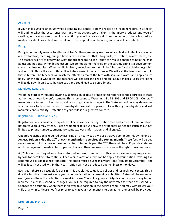#### Accidents

If your child sustains an injury while attending our center, you will receive an incident report. This report will outline what the occurrence was, and what actions were taken. If the injury produces any type of swelling, on face, or needs medical attention you will receive a call from the center. If there is a serious medical incident, your child will be taken to the hospital by ambulance, and you will be contacted.

#### Biting

Biting is commonly seen in Toddlers and Two's. There are many reasons why a child will bite. For example: oral exploration, teething, hunger, tired, lack of awareness that biting hurts, frustration, anxiety, stress, etc. The teacher will try to determine what the triggers are, to see if they can make a change to help the child adjust and not bite. When biting occurs, we do not blame the child or the parent. Biting is a development stage that does not last. When a child is bitten, an incident report will be filled out for the child who got bit, and who bit. This will allow both families to be aware of the occurrence. We will call the family for the child that is bitten. The teachers will wash the affected area of the bite with soap and water and apply an ice pack. For the child who bites, the teachers will redirect the child and talk about choices. Excessive biting will be dealt with on a case-by-case basis and could lead to disenrollment.

#### Mandated Reporting

Wyoming State law requires anyone suspecting child abuse or neglect to report it to the appropriate State authorities or local law enforcement. This is pursuant to Wyoming SS 14-3-205 and 35-20-103. Our staff members are trained in identifying and reporting suspected neglect. The State authorities may determine what actions to take and when to investigate. We will cooperate fully with any investigation and will maintain confidentiality. Protection of your child is our greatest concern.

#### Registration, Tuition, and Fees

Registration forms must be completed online as well as the registration fees and a copy of immunizations before your child may attend. Please remember to let us know of any updates as needed (such as but not limited to phone numbers, emergency contacts, work information, and allergies).

Updated registration is required by licensing on a yearly basis, we ask that you complete this by the end of August. **Tuition is due the 20th of each month prior to services the coming month.** These fees will be due regardless of child's absence form our center. If tuition is past the 25<sup>th,</sup> there will be a \$5 per day late fee until the payment is made in full. If payment is later than one week, we reserve the right to suspend care.

A \$25 fee will be charged for a check returned for insufficient funds. If this occurs, we may require payment by cash for enrollment to continue. Each year, a vacation credit can be applied to your tuition, covering five continuous days of absence from care. This credit must be used in a years' time (January to December), and will be lost if not used within that year. Tuition will not be reduced due to illness or holidays.

Each year, there is a resupply fee of \$25. This enables us to update policies and resupply our center. This is due the last day of August every year when registration paperwork is submitted. Rates will be evaluated each year and have the potential of a small increase. You will be given a thirty-day notice prior to any tuition increase. If a child's schedule changes, you will be required to pay the new rates for that class schedule. Changes can occur only when there is an available position in the desired room. You may withdrawal your child at any time. Please notify us prior to paying your next month's tuition as no refunds will be provided.

#### Drop-off and Pick- up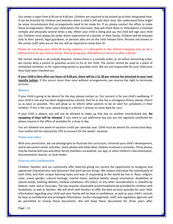Our center is open from 6:30 am to 6:00 pm. Children are required to be picked up at their designated time. It can be stressful for children and teachers when a child is left past their time. We understand there might be some circumstances that arrangements need to be made for. If so, please contact the office to make these arrangements. When your child enters the classroom, they will check them in. Attendance is checked verbally and physically several times a day. When your child is being pick up, the child will sign your child out. Children must always be under direct supervision of a teacher or their family. Children will be released only to their parent, legal guardians, or persons who are on the child release form. Persons not known to the center staff, who are on the list, will be required to show their ID.

## Please do not drop your child off during naptime, it is disruptive to the children sleeping and can be a difficult time for you child to arrive. Plan to bring your child before 11:30 am or after 2:00 pm.

We remain neutral in all custody disputes. Unless there is a custody order, or an active restraining order, we cannot deny a parent or guardian access to his or her child. The center cannot be used as a place of scheduled visitation, or for supervising parent or guardian visits. We are not responsible for your child once they have been checked out.

**If your child is here after our hours of 6:00 pm, there will be a \$1.00 per minute fee attached to your next months tuition**. If this occurs more than once without arrangements, we reserve the right to terminate services.

#### Absence

If your child is going to be absent for the day, please contact us. Our concern is for you child's wellbeing. If your child is sick and has been diagnosed by a doctor that he or she has a contagious illness, please inform us as soon as possible. This will allow us to inform other parents to be on alert for symptoms in their children. If this is the case, please bring in a doctor's release to come back for care.

If your child is absent, you will not be allowed to make up that day on another unscheduled day. **No swapping of days will be allowed**, if you need to use additional day you are not regularly scheduled for please inquire in the office of availably for a drop-in day.

You are allowed one week of vacation credit per calendar year. Child must be absent for consecutive days. Your tuition will be reduced by 25% to account for the weeks' vacation.

#### Photos and videos

With your permission, we use photographs to illustrate the curriculum, chronicle your child's development, and to document center activities. Some photos will show other children involved in activities. These photos may be shared with you and other family members via website, our app, or other children's documentation, documentation boards, or local media.

#### Diversity and Confidentiality

Children, families, and our community offer diversity giving our society the opportunity to recognize and appreciate characteristics and behaviors that each person brings. We respect and value the individuality of each child, and their unique learning styles and way of responding to the world we live in. Race, religion, color, creed, gender, cultural heritage, marital status, political beliefs, sexual orientation, disabilities or special needs, toileting abilities, medical conditions, HIV status, or any other considerations is unlawful by federal, state, and or local laws. The law requires reasonable accommodations be provided for children with disabilities, as well as families. We will work with families to offer the best services possible for your child. Information regarding your child and your family will be kept in confidence, as well as your child's records be kept as confidential and privileged information. Center management, staff, and regulatory agencies will be permitted to review these documents. We will keep these documents for three years after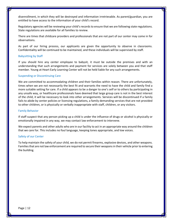disenrollment, in which they will be destroyed and information irretrievable. As parent/guardian, you are entitled to have access to the information of your child's record.

Regulatory agencies will be reviewing your child's records to ensure that we are following state regulations. State regulations are available for all families to review.

There are times that childcare providers and professionals that are not part of our center may come in for observations.

As part of our hiring process, our applicants are given the opportunity to observe in classrooms. Confidentiality will be continued to be maintained, and these individuals will be supervised by staff.

#### Babysitting by Staff

If you should hire any center employee to babysit, it must be outside the premises and with an understanding that such arrangements and payment for services are solely between you and that staff member. Young at Heart Early Learning Center will not be held liable for any such arrangements.

#### Suspending or Discontinuing Care

We are committed to accommodating children and their families within reason. There are unfortunately, times when we are not necessarily the best fit and warrants the need to have the child and family find a more suitable setting for care. If a child appears to be a danger to one's self or to others by participating in any unsafe way, or healthcare professionals have deemed that large group care is not in the best interest of the child, it will be necessary to look into other arrangements. Services will be discontinued if a family fails to abide by center policies or licensing regulations, a family demanding services that are not provided to other children, or is physically or verbally inappropriate with staff, children, or any visitors.

#### Family Behavior

If staff suspect that any person picking up a child is under the influence of drugs or alcohol is physically or emotionally impaired in any way, we may contact law enforcement to intervene.

We expect parents and other adults who are in our facility to act in an appropriate way around the children that we care for. This includes no foul language, keeping tones appropriate, and low voices.

#### Safety of our Center

To help maintain the safety of your child, we do not permit firearms, explosive devices, and other weapons. Families that are not law enforcement are required to secure their weapons in their vehicle prior to entering the building.